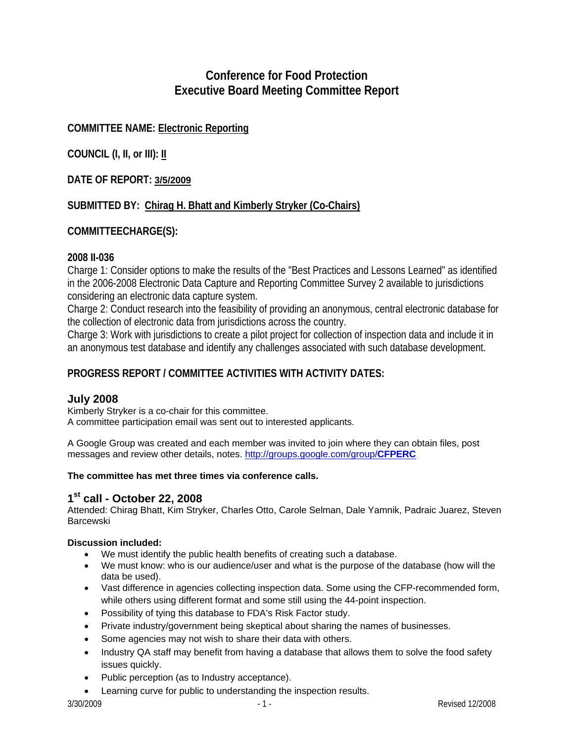# **Conference for Food Protection Executive Board Meeting Committee Report**

# **COMMITTEE NAME: Electronic Reporting**

**COUNCIL (I, II, or III): II**

## **DATE OF REPORT: 3/5/2009**

## **SUBMITTED BY: Chirag H. Bhatt and Kimberly Stryker (Co-Chairs)**

## **COMMITTEECHARGE(S):**

### **2008 II-036**

Charge 1: Consider options to make the results of the "Best Practices and Lessons Learned" as identified in the 2006-2008 Electronic Data Capture and Reporting Committee Survey 2 available to jurisdictions considering an electronic data capture system.

Charge 2: Conduct research into the feasibility of providing an anonymous, central electronic database for the collection of electronic data from jurisdictions across the country.

Charge 3: Work with jurisdictions to create a pilot project for collection of inspection data and include it in an anonymous test database and identify any challenges associated with such database development.

## **PROGRESS REPORT / COMMITTEE ACTIVITIES WITH ACTIVITY DATES:**

### **July 2008**

Kimberly Stryker is a co-chair for this committee. A committee participation email was sent out to interested applicants.

A Google Group was created and each member was invited to join where they can obtain files, post messages and review other details, notes. [http://groups.google.com/group/](http://groups.google.com/group/CFPERC)**CFPERC**

#### **The committee has met three times via conference calls.**

## **1st call - October 22, 2008**

Attended: Chirag Bhatt, Kim Stryker, Charles Otto, Carole Selman, Dale Yamnik, Padraic Juarez, Steven Barcewski

### **Discussion included:**

- We must identify the public health benefits of creating such a database.
- We must know: who is our audience/user and what is the purpose of the database (how will the data be used).
- Vast difference in agencies collecting inspection data. Some using the CFP-recommended form, while others using different format and some still using the 44-point inspection.
- Possibility of tying this database to FDA's Risk Factor study.
- Private industry/government being skeptical about sharing the names of businesses.
- Some agencies may not wish to share their data with others.
- Industry QA staff may benefit from having a database that allows them to solve the food safety issues quickly.
- Public perception (as to Industry acceptance).
- Learning curve for public to understanding the inspection results.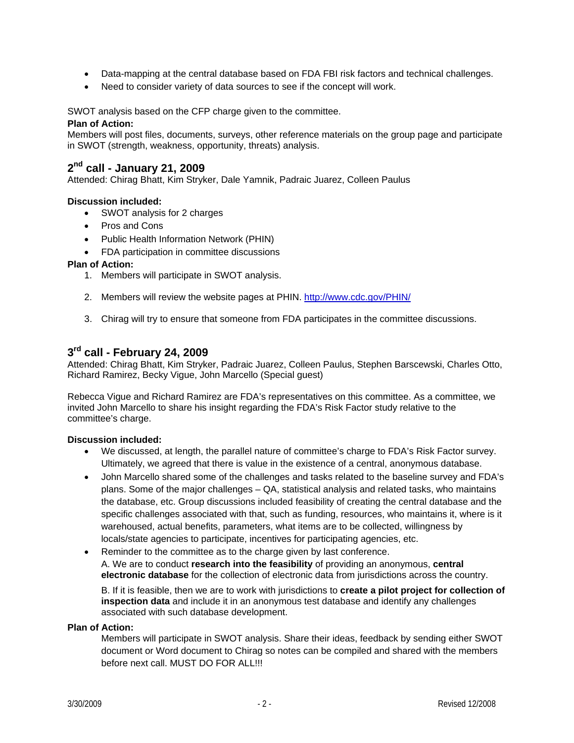- Data-mapping at the central database based on FDA FBI risk factors and technical challenges.
- Need to consider variety of data sources to see if the concept will work.

SWOT analysis based on the CFP charge given to the committee.

#### **Plan of Action:**

Members will post files, documents, surveys, other reference materials on the group page and participate in SWOT (strength, weakness, opportunity, threats) analysis.

## **2nd call - January 21, 2009**

Attended: Chirag Bhatt, Kim Stryker, Dale Yamnik, Padraic Juarez, Colleen Paulus

#### **Discussion included:**

- SWOT analysis for 2 charges
- Pros and Cons
- Public Health Information Network (PHIN)
- FDA participation in committee discussions

#### **Plan of Action:**

- 1. Members will participate in SWOT analysis.
- 2. Members will review the website pages at PHIN. <http://www.cdc.gov/PHIN/>
- 3. Chirag will try to ensure that someone from FDA participates in the committee discussions.

## **3rd call - February 24, 2009**

Attended: Chirag Bhatt, Kim Stryker, Padraic Juarez, Colleen Paulus, Stephen Barscewski, Charles Otto, Richard Ramirez, Becky Vigue, John Marcello (Special guest)

Rebecca Vigue and Richard Ramirez are FDA's representatives on this committee. As a committee, we invited John Marcello to share his insight regarding the FDA's Risk Factor study relative to the committee's charge.

#### **Discussion included:**

- We discussed, at length, the parallel nature of committee's charge to FDA's Risk Factor survey. Ultimately, we agreed that there is value in the existence of a central, anonymous database.
- John Marcello shared some of the challenges and tasks related to the baseline survey and FDA's plans. Some of the major challenges – QA, statistical analysis and related tasks, who maintains the database, etc. Group discussions included feasibility of creating the central database and the specific challenges associated with that, such as funding, resources, who maintains it, where is it warehoused, actual benefits, parameters, what items are to be collected, willingness by locals/state agencies to participate, incentives for participating agencies, etc.
- Reminder to the committee as to the charge given by last conference. A. We are to conduct **research into the feasibility** of providing an anonymous, **central electronic database** for the collection of electronic data from jurisdictions across the country.

B. If it is feasible, then we are to work with jurisdictions to **create a pilot project for collection of inspection data** and include it in an anonymous test database and identify any challenges associated with such database development.

#### **Plan of Action:**

Members will participate in SWOT analysis. Share their ideas, feedback by sending either SWOT document or Word document to Chirag so notes can be compiled and shared with the members before next call. MUST DO FOR ALL!!!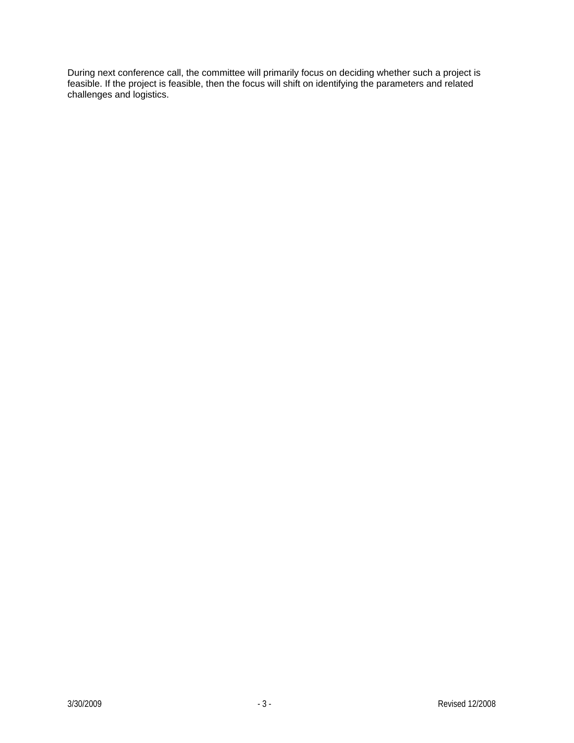During next conference call, the committee will primarily focus on deciding whether such a project is feasible. If the project is feasible, then the focus will shift on identifying the parameters and related challenges and logistics.